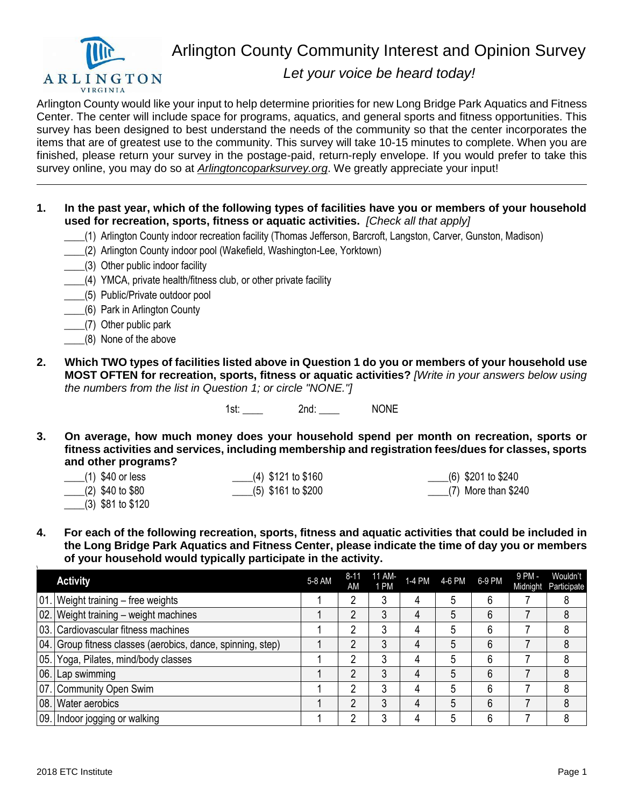

Arlington County Community Interest and Opinion Survey

## *Let your voice be heard today!*

Arlington County would like your input to help determine priorities for new Long Bridge Park Aquatics and Fitness Center. The center will include space for programs, aquatics, and general sports and fitness opportunities. This survey has been designed to best understand the needs of the community so that the center incorporates the items that are of greatest use to the community. This survey will take 10-15 minutes to complete. When you are finished, please return your survey in the postage-paid, return-reply envelope. If you would prefer to take this survey online, you may do so at *Arlingtoncoparksurvey.org*. We greatly appreciate your input!

- **1. In the past year, which of the following types of facilities have you or members of your household used for recreation, sports, fitness or aquatic activities.** *[Check all that apply]*
	- \_\_\_\_(1) Arlington County indoor recreation facility (Thomas Jefferson, Barcroft, Langston, Carver, Gunston, Madison)
	- \_\_\_\_(2) Arlington County indoor pool (Wakefield, Washington-Lee, Yorktown)
	- \_\_\_\_(3) Other public indoor facility
	- \_\_\_\_(4) YMCA, private health/fitness club, or other private facility
	- \_\_\_\_(5) Public/Private outdoor pool
	- \_\_\_\_(6) Park in Arlington County
	- \_\_\_\_(7) Other public park
	- \_\_\_\_(8) None of the above
- **2. Which TWO types of facilities listed above in Question 1 do you or members of your household use MOST OFTEN for recreation, sports, fitness or aquatic activities?** *[Write in your answers below using the numbers from the list in Question 1; or circle "NONE."]*

1st: 2nd: 2nd: NONE

- **3. On average, how much money does your household spend per month on recreation, sports or fitness activities and services, including membership and registration fees/dues for classes, sports and other programs?**
	- \_\_\_\_(1) \$40 or less \_\_\_\_(2) \$40 to \$80 \_\_\_\_(3) \$81 to \$120 \_\_\_\_(4) \$121 to \$160 \_\_\_\_(5) \$161 to \$200 \_\_\_\_(6) \$201 to \$240 \_\_\_\_(7) More than \$240
- **4. For each of the following recreation, sports, fitness and aquatic activities that could be included in the Long Bridge Park Aquatics and Fitness Center, please indicate the time of day you or members of your household would typically participate in the activity.**

| <b>Activity</b>                                             | 5-8 AM | 8-11<br>AM | 11 AM-<br>1 PM |   | 1-4 PM 4-6 PM 6-9 PM |   | 9 PM - | Wouldn't<br>Midnight Participate |
|-------------------------------------------------------------|--------|------------|----------------|---|----------------------|---|--------|----------------------------------|
| 01. Weight training - free weights                          |        |            | 3              | 4 | 5                    | 6 |        |                                  |
| 02. Weight training - weight machines                       |        |            | 3              | 4 | 5                    | 6 |        | 8                                |
| 03. Cardiovascular fitness machines                         |        |            | 3              | 4 | 5                    | 6 |        | 8                                |
| 04. Group fitness classes (aerobics, dance, spinning, step) |        |            |                | 4 | 5                    | 6 |        |                                  |
| 05. Yoga, Pilates, mind/body classes                        |        |            | 3              | 4 | 5                    | 6 |        |                                  |
| 06. Lap swimming                                            |        |            | 3              | 4 | 5                    | 6 |        | 8                                |
| 07. Community Open Swim                                     |        |            | 3              | 4 | 5                    | 6 |        |                                  |
| 08. Water aerobics                                          |        |            | 3              | 4 | 5                    | 6 |        | 8                                |
| 09. Indoor jogging or walking                               |        |            |                | 4 | 5                    | 6 |        | 8                                |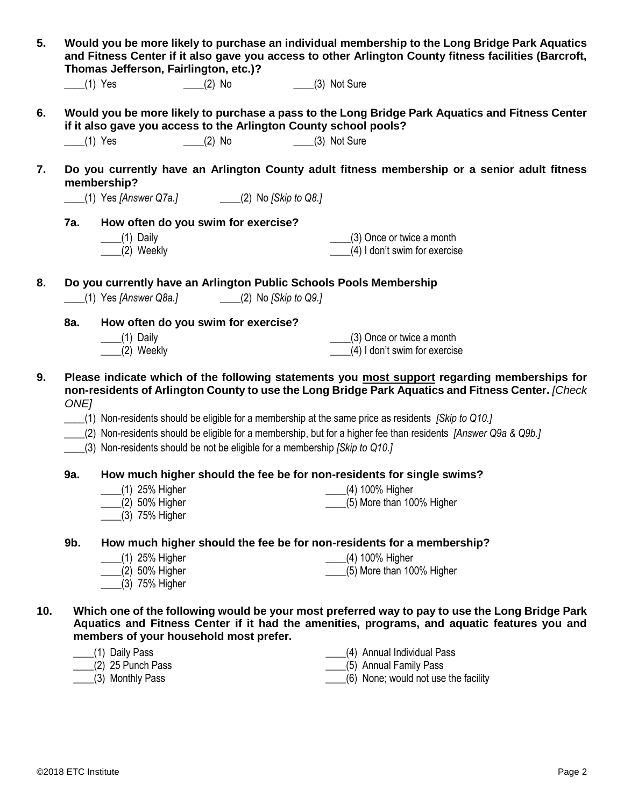| 5.  |                       | Would you be more likely to purchase an individual membership to the Long Bridge Park Aquatics<br>and Fitness Center if it also gave you access to other Arlington County fitness facilities (Barcroft,<br>Thomas Jefferson, Fairlington, etc.)? |                                                                             |  |                                                                                                                                                                                                   |  |  |  |  |
|-----|-----------------------|--------------------------------------------------------------------------------------------------------------------------------------------------------------------------------------------------------------------------------------------------|-----------------------------------------------------------------------------|--|---------------------------------------------------------------------------------------------------------------------------------------------------------------------------------------------------|--|--|--|--|
|     |                       | $(1)$ Yes                                                                                                                                                                                                                                        | (2) No (3) Not Sure                                                         |  |                                                                                                                                                                                                   |  |  |  |  |
| 6.  |                       |                                                                                                                                                                                                                                                  | if it also gave you access to the Arlington County school pools?            |  | Would you be more likely to purchase a pass to the Long Bridge Park Aquatics and Fitness Center                                                                                                   |  |  |  |  |
|     | $\frac{1}{2}$ (1) Yes |                                                                                                                                                                                                                                                  | (2) No (3) Not Sure                                                         |  |                                                                                                                                                                                                   |  |  |  |  |
| 7.  |                       | membership?                                                                                                                                                                                                                                      |                                                                             |  | Do you currently have an Arlington County adult fitness membership or a senior adult fitness                                                                                                      |  |  |  |  |
|     |                       |                                                                                                                                                                                                                                                  | (1) Yes [Answer Q7a.] (2) No [Skip to Q8.]                                  |  |                                                                                                                                                                                                   |  |  |  |  |
|     | 7a.                   |                                                                                                                                                                                                                                                  | How often do you swim for exercise?                                         |  |                                                                                                                                                                                                   |  |  |  |  |
|     |                       | $\qquad$ (1) Daily<br>$\frac{1}{2}$ Weekly                                                                                                                                                                                                       |                                                                             |  | $\frac{1}{2}$ (3) Once or twice a month<br>(4) I don't swim for exercise                                                                                                                          |  |  |  |  |
| 8.  |                       |                                                                                                                                                                                                                                                  | (1) Yes [Answer Q8a.] (2) No [Skip to Q9.]                                  |  | Do you currently have an Arlington Public Schools Pools Membership                                                                                                                                |  |  |  |  |
|     | 8a.                   |                                                                                                                                                                                                                                                  |                                                                             |  |                                                                                                                                                                                                   |  |  |  |  |
|     |                       | $\underline{\hspace{1cm}}(1)$ Daily                                                                                                                                                                                                              | How often do you swim for exercise?                                         |  | $\frac{1}{2}$ (3) Once or twice a month                                                                                                                                                           |  |  |  |  |
|     |                       | (2) Weekly                                                                                                                                                                                                                                       |                                                                             |  | (4) I don't swim for exercise                                                                                                                                                                     |  |  |  |  |
| 9.  | ONE <sub>1</sub>      |                                                                                                                                                                                                                                                  |                                                                             |  | Please indicate which of the following statements you most support regarding memberships for<br>non-residents of Arlington County to use the Long Bridge Park Aquatics and Fitness Center. [Check |  |  |  |  |
|     |                       |                                                                                                                                                                                                                                                  |                                                                             |  | (1) Non-residents should be eligible for a membership at the same price as residents [Skip to Q10.]                                                                                               |  |  |  |  |
|     |                       |                                                                                                                                                                                                                                                  |                                                                             |  | (2) Non-residents should be eligible for a membership, but for a higher fee than residents [Answer Q9a & Q9b.]                                                                                    |  |  |  |  |
|     |                       |                                                                                                                                                                                                                                                  | (3) Non-residents should be not be eligible for a membership [Skip to Q10.] |  |                                                                                                                                                                                                   |  |  |  |  |
|     | 9a.                   |                                                                                                                                                                                                                                                  |                                                                             |  | How much higher should the fee be for non-residents for single swims?                                                                                                                             |  |  |  |  |
|     |                       | __(1) 25% Higher<br>(2) 50% Higher                                                                                                                                                                                                               |                                                                             |  | (5) More than 100% Higher                                                                                                                                                                         |  |  |  |  |
|     |                       | (3) 75% Higher                                                                                                                                                                                                                                   |                                                                             |  |                                                                                                                                                                                                   |  |  |  |  |
|     | 9b.                   |                                                                                                                                                                                                                                                  |                                                                             |  | How much higher should the fee be for non-residents for a membership?                                                                                                                             |  |  |  |  |
|     |                       | (1) 25% Higher                                                                                                                                                                                                                                   |                                                                             |  | (4) 100% Higher                                                                                                                                                                                   |  |  |  |  |
|     |                       | (2) 50% Higher<br>(3) 75% Higher                                                                                                                                                                                                                 |                                                                             |  | (5) More than 100% Higher                                                                                                                                                                         |  |  |  |  |
| 10. |                       |                                                                                                                                                                                                                                                  |                                                                             |  | Which one of the following would be your most preferred way to pay to use the Long Bridge Park<br>Aquatics and Fitness Center if it had the amenities, programs, and aquatic features you and     |  |  |  |  |
|     |                       |                                                                                                                                                                                                                                                  | members of your household most prefer.                                      |  |                                                                                                                                                                                                   |  |  |  |  |
|     |                       | (1) Daily Pass<br>$(2)$ 25 Punch Pass                                                                                                                                                                                                            |                                                                             |  | (4) Annual Individual Pass<br>(5) Annual Family Pass                                                                                                                                              |  |  |  |  |
|     |                       | (3) Monthly Pass                                                                                                                                                                                                                                 |                                                                             |  | (6) None; would not use the facility                                                                                                                                                              |  |  |  |  |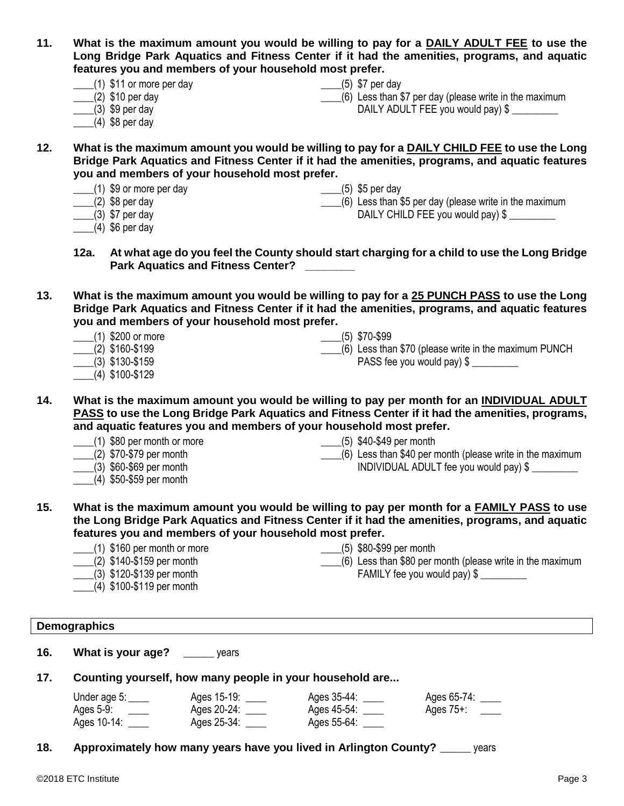| 11. | features you and members of your household most prefer. | What is the maximum amount you would be willing to pay for a DAILY ADULT FEE to use the<br>Long Bridge Park Aquatics and Fitness Center if it had the amenities, programs, and aquatic |
|-----|---------------------------------------------------------|----------------------------------------------------------------------------------------------------------------------------------------------------------------------------------------|
|     | $\frac{1}{2}$ (1) \$11 or more per day                  | $\frac{1}{1}$ (5) \$7 per day                                                                                                                                                          |

- $(1)$  \$11 or more per day
- $(2)$  \$10 per day
- $(3)$  \$9 per day
- $(4)$  \$8 per day

 $(6)$  Less than \$7 per day (please write in the maximum DAILY ADULT FEE you would pay) \$

- **12. What is the maximum amount you would be willing to pay for a DAILY CHILD FEE to use the Long Bridge Park Aquatics and Fitness Center if it had the amenities, programs, and aquatic features you and members of your household most prefer.**
	- \_\_\_\_(1) \$9 or more per day
	- $(2)$  \$8 per day
- \_\_\_\_(5) \$5 per day
	-
- \_\_\_\_(3) \$7 per day
- $(4)$  \$6 per day
- \_\_\_\_(6) Less than \$5 per day (please write in the maximum DAILY CHILD FEE you would pay)  $$$
- **12a. At what age do you feel the County should start charging for a child to use the Long Bridge Park Aquatics and Fitness Center?**
- **13. What is the maximum amount you would be willing to pay for a 25 PUNCH PASS to use the Long Bridge Park Aquatics and Fitness Center if it had the amenities, programs, and aquatic features you and members of your household most prefer.**
	- \_\_\_\_(1) \$200 or more  $(2)$  \$160-\$199 \_\_\_\_(3) \$130-\$159 \_\_\_\_(5) \$70-\$99  $(6)$  Less than \$70 (please write in the maximum PUNCH) PASS fee you would pay) \$
	- \_\_\_\_(4) \$100-\$129

**14. What is the maximum amount you would be willing to pay per month for an INDIVIDUAL ADULT PASS to use the Long Bridge Park Aquatics and Fitness Center if it had the amenities, programs, and aquatic features you and members of your household most prefer.**

- \_\_\_\_(1) \$80 per month or more
- \_\_\_\_(2) \$70-\$79 per month
- \_\_\_\_(3) \$60-\$69 per month
- $(4)$  \$50-\$59 per month
- \_\_\_\_(5) \$40-\$49 per month
- \_\_\_\_(6) Less than \$40 per month (please write in the maximum INDIVIDUAL ADULT fee you would pay) \$ \_\_\_\_\_\_\_\_\_
- **15. What is the maximum amount you would be willing to pay per month for a FAMILY PASS to use the Long Bridge Park Aquatics and Fitness Center if it had the amenities, programs, and aquatic features you and members of your household most prefer.**
	- \_\_\_\_(1) \$160 per month or more
	- \_\_\_\_(2) \$140-\$159 per month
	- \_\_\_\_(3) \$120-\$139 per month
	- $(4)$  \$100-\$119 per month
- \_\_\_\_(5) \$80-\$99 per month
- \_\_\_\_(6) Less than \$80 per month (please write in the maximum FAMILY fee you would pay)  $$$

## **Demographics**

- **16. What is your age?** \_\_\_\_\_\_ years
- **17. Counting yourself, how many people in your household are...**

| Under age 5: | Ages 15-19: | Ages 35-44: | Ages 65-74:  |
|--------------|-------------|-------------|--------------|
| Ages 5-9:    | Ages 20-24: | Ages 45-54: | Ages $75+$ : |
| Ages 10-14:  | Ages 25-34: | Ages 55-64: |              |

**18. Approximately how many years have you lived in Arlington County?** \_\_\_\_\_\_ years